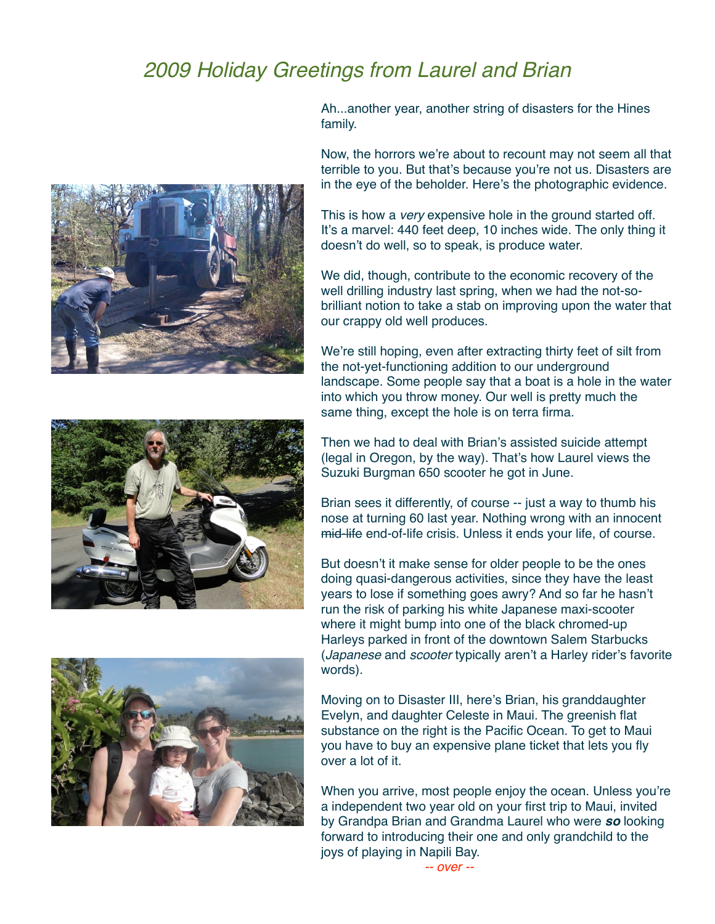## *2009 Holiday Greetings from Laurel and Brian*







Ah...another year, another string of disasters for the Hines family.

Now, the horrors we're about to recount may not seem all that terrible to you. But that's because you're not us. Disasters are in the eye of the beholder. Here's the photographic evidence.

This is how a *very* expensive hole in the ground started off. It's a marvel: 440 feet deep, 10 inches wide. The only thing it doesn't do well, so to speak, is produce water.

We did, though, contribute to the economic recovery of the well drilling industry last spring, when we had the not-sobrilliant notion to take a stab on improving upon the water that our crappy old well produces.

We're still hoping, even after extracting thirty feet of silt from the not-yet-functioning addition to our underground landscape. Some people say that a boat is a hole in the water into which you throw money. Our well is pretty much the same thing, except the hole is on terra firma.

Then we had to deal with Brian's assisted suicide attempt (legal in Oregon, by the way). That's how Laurel views the Suzuki Burgman 650 scooter he got in June.

Brian sees it differently, of course -- just a way to thumb his nose at turning 60 last year. Nothing wrong with an innocent mid-life end-of-life crisis. Unless it ends your life, of course.

But doesn't it make sense for older people to be the ones doing quasi-dangerous activities, since they have the least years to lose if something goes awry? And so far he hasn't run the risk of parking his white Japanese maxi-scooter where it might bump into one of the black chromed-up Harleys parked in front of the downtown Salem Starbucks (*Japanese* and *scooter* typically aren't a Harley rider's favorite words).

Moving on to Disaster III, here's Brian, his granddaughter Evelyn, and daughter Celeste in Maui. The greenish flat substance on the right is the Pacific Ocean. To get to Maui you have to buy an expensive plane ticket that lets you fly over a lot of it.

When you arrive, most people enjoy the ocean. Unless you're a independent two year old on your first trip to Maui, invited by Grandpa Brian and Grandma Laurel who were *so* looking forward to introducing their one and only grandchild to the joys of playing in Napili Bay.

*-- over --*